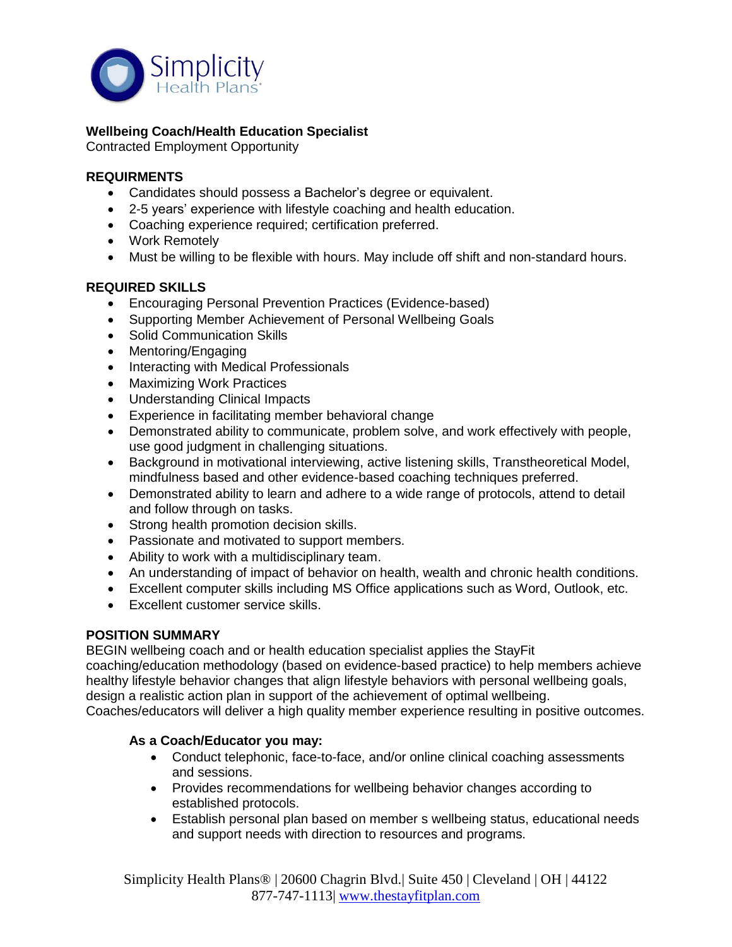

# **Wellbeing Coach/Health Education Specialist**

Contracted Employment Opportunity

### **REQUIRMENTS**

- Candidates should possess a Bachelor's degree or equivalent.
- 2-5 years' experience with lifestyle coaching and health education.
- Coaching experience required; certification preferred.
- Work Remotely
- Must be willing to be flexible with hours. May include off shift and non-standard hours.

### **REQUIRED SKILLS**

- Encouraging Personal Prevention Practices (Evidence-based)
- Supporting Member Achievement of Personal Wellbeing Goals
- Solid Communication Skills
- Mentoring/Engaging
- Interacting with Medical Professionals
- Maximizing Work Practices
- Understanding Clinical Impacts
- Experience in facilitating member behavioral change
- Demonstrated ability to communicate, problem solve, and work effectively with people, use good judgment in challenging situations.
- Background in motivational interviewing, active listening skills, Transtheoretical Model, mindfulness based and other evidence-based coaching techniques preferred.
- Demonstrated ability to learn and adhere to a wide range of protocols, attend to detail and follow through on tasks.
- Strong health promotion decision skills.
- Passionate and motivated to support members.
- Ability to work with a multidisciplinary team.
- An understanding of impact of behavior on health, wealth and chronic health conditions.
- Excellent computer skills including MS Office applications such as Word, Outlook, etc.
- Excellent customer service skills.

### **POSITION SUMMARY**

BEGIN wellbeing coach and or health education specialist applies the StayFit coaching/education methodology (based on evidence-based practice) to help members achieve healthy lifestyle behavior changes that align lifestyle behaviors with personal wellbeing goals, design a realistic action plan in support of the achievement of optimal wellbeing. Coaches/educators will deliver a high quality member experience resulting in positive outcomes.

#### **As a Coach/Educator you may:**

- Conduct telephonic, face-to-face, and/or online clinical coaching assessments and sessions.
- Provides recommendations for wellbeing behavior changes according to established protocols.
- Establish personal plan based on member s wellbeing status, educational needs and support needs with direction to resources and programs.

Simplicity Health Plans® | 20600 Chagrin Blvd.| Suite 450 | Cleveland | OH | 44122 877-747-1113| [www.thestayfitplan.com](http://www.thestayfitplan.com/)